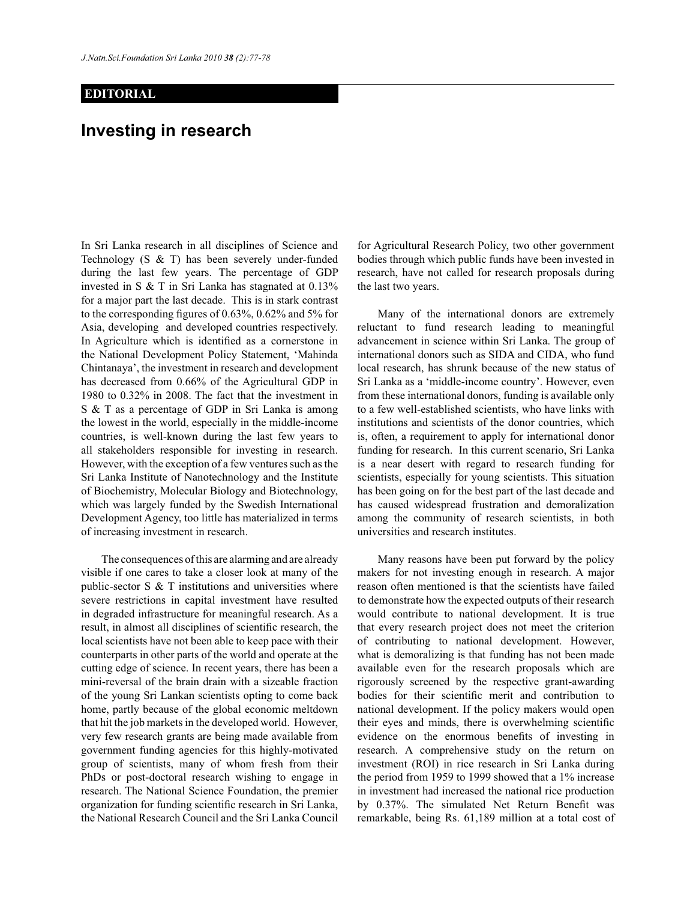## **EDITORIAL**

## **Investing in research**

In Sri Lanka research in all disciplines of Science and Technology (S & T) has been severely under-funded during the last few years. The percentage of GDP invested in S & T in Sri Lanka has stagnated at 0.13% for a major part the last decade. This is in stark contrast to the corresponding figures of 0.63%, 0.62% and 5% for Asia, developing and developed countries respectively. In Agriculture which is identified as a cornerstone in the National Development Policy Statement, 'Mahinda Chintanaya', the investment in research and development has decreased from 0.66% of the Agricultural GDP in 1980 to 0.32% in 2008. The fact that the investment in S & T as a percentage of GDP in Sri Lanka is among the lowest in the world, especially in the middle-income countries, is well-known during the last few years to all stakeholders responsible for investing in research. However, with the exception of a few ventures such as the Sri Lanka Institute of Nanotechnology and the Institute of Biochemistry, Molecular Biology and Biotechnology, which was largely funded by the Swedish International Development Agency, too little has materialized in terms of increasing investment in research.

 The consequences of this are alarming and are already visible if one cares to take a closer look at many of the public-sector S & T institutions and universities where severe restrictions in capital investment have resulted in degraded infrastructure for meaningful research. As a result, in almost all disciplines of scientific research, the local scientists have not been able to keep pace with their counterparts in other parts of the world and operate at the cutting edge of science. In recent years, there has been a mini-reversal of the brain drain with a sizeable fraction of the young Sri Lankan scientists opting to come back home, partly because of the global economic meltdown that hit the job markets in the developed world. However, very few research grants are being made available from government funding agencies for this highly-motivated group of scientists, many of whom fresh from their PhDs or post-doctoral research wishing to engage in research. The National Science Foundation, the premier organization for funding scientific research in Sri Lanka, the National Research Council and the Sri Lanka Council

for Agricultural Research Policy, two other government bodies through which public funds have been invested in research, have not called for research proposals during the last two years.

 Many of the international donors are extremely reluctant to fund research leading to meaningful advancement in science within Sri Lanka. The group of international donors such as SIDA and CIDA, who fund local research, has shrunk because of the new status of Sri Lanka as a 'middle-income country'. However, even from these international donors, funding is available only to a few well-established scientists, who have links with institutions and scientists of the donor countries, which is, often, a requirement to apply for international donor funding for research. In this current scenario, Sri Lanka is a near desert with regard to research funding for scientists, especially for young scientists. This situation has been going on for the best part of the last decade and has caused widespread frustration and demoralization among the community of research scientists, in both universities and research institutes.

 Many reasons have been put forward by the policy makers for not investing enough in research. A major reason often mentioned is that the scientists have failed to demonstrate how the expected outputs of their research would contribute to national development. It is true that every research project does not meet the criterion of contributing to national development. However, what is demoralizing is that funding has not been made available even for the research proposals which are rigorously screened by the respective grant-awarding bodies for their scientific merit and contribution to national development. If the policy makers would open their eyes and minds, there is overwhelming scientific evidence on the enormous benefits of investing in research. A comprehensive study on the return on investment (ROI) in rice research in Sri Lanka during the period from 1959 to 1999 showed that a 1% increase in investment had increased the national rice production by 0.37%. The simulated Net Return Benefit was remarkable, being Rs. 61,189 million at a total cost of